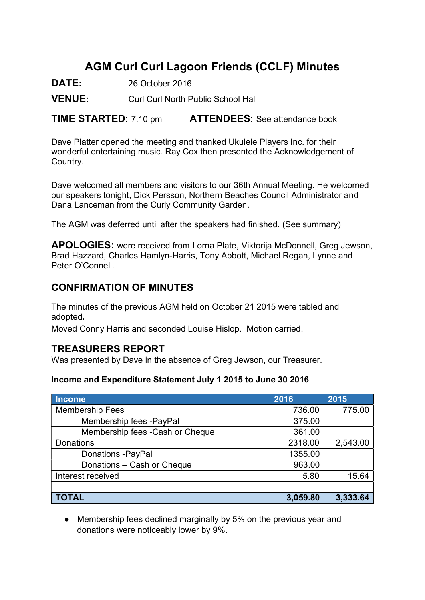# AGM Curl Curl Lagoon Friends (CCLF) Minutes

DATE: 26 October 2016

VENUE: Curl Curl North Public School Hall

**TIME STARTED:** 7.10 pm **ATTENDEES:** See attendance book

Dave Platter opened the meeting and thanked Ukulele Players Inc. for their wonderful entertaining music. Ray Cox then presented the Acknowledgement of Country.

Dave welcomed all members and visitors to our 36th Annual Meeting. He welcomed our speakers tonight, Dick Persson, Northern Beaches Council Administrator and Dana Lanceman from the Curly Community Garden.

The AGM was deferred until after the speakers had finished. (See summary)

APOLOGIES: were received from Lorna Plate, Viktorija McDonnell, Greg Jewson, Brad Hazzard, Charles Hamlyn-Harris, Tony Abbott, Michael Regan, Lynne and Peter O'Connell.

### CONFIRMATION OF MINUTES

The minutes of the previous AGM held on October 21 2015 were tabled and adopted.

Moved Conny Harris and seconded Louise Hislop. Motion carried.

### TREASURERS REPORT

Was presented by Dave in the absence of Greg Jewson, our Treasurer.

#### Income and Expenditure Statement July 1 2015 to June 30 2016

| <b>Income</b>                   | 2016     | 2015     |
|---------------------------------|----------|----------|
| <b>Membership Fees</b>          | 736.00   | 775.00   |
| Membership fees -PayPal         | 375.00   |          |
| Membership fees -Cash or Cheque | 361.00   |          |
| <b>Donations</b>                | 2318.00  | 2,543.00 |
| <b>Donations -PayPal</b>        | 1355.00  |          |
| Donations - Cash or Cheque      | 963.00   |          |
| Interest received               | 5.80     | 15.64    |
|                                 |          |          |
| <b>TOTAL</b>                    | 3,059.80 | 3,333.64 |

• Membership fees declined marginally by 5% on the previous year and donations were noticeably lower by 9%.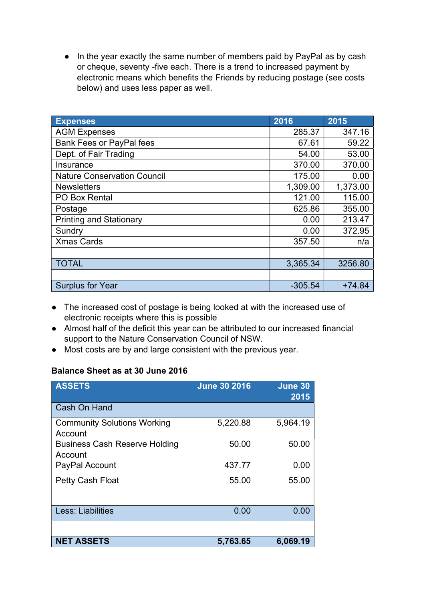● In the year exactly the same number of members paid by PayPal as by cash or cheque, seventy -five each. There is a trend to increased payment by electronic means which benefits the Friends by reducing postage (see costs below) and uses less paper as well.

| <b>Expenses</b>                    | 2016      | 2015     |
|------------------------------------|-----------|----------|
| <b>AGM Expenses</b>                | 285.37    | 347.16   |
| <b>Bank Fees or PayPal fees</b>    | 67.61     | 59.22    |
| Dept. of Fair Trading              | 54.00     | 53.00    |
| Insurance                          | 370.00    | 370.00   |
| <b>Nature Conservation Council</b> | 175.00    | 0.00     |
| <b>Newsletters</b>                 | 1,309.00  | 1,373.00 |
| <b>PO Box Rental</b>               | 121.00    | 115.00   |
| Postage                            | 625.86    | 355.00   |
| <b>Printing and Stationary</b>     | 0.00      | 213.47   |
| Sundry                             | 0.00      | 372.95   |
| <b>Xmas Cards</b>                  | 357.50    | n/a      |
|                                    |           |          |
| <b>TOTAL</b>                       | 3,365.34  | 3256.80  |
|                                    |           |          |
| <b>Surplus for Year</b>            | $-305.54$ | $+74.84$ |

- The increased cost of postage is being looked at with the increased use of electronic receipts where this is possible
- Almost half of the deficit this year can be attributed to our increased financial support to the Nature Conservation Council of NSW.
- Most costs are by and large consistent with the previous year.

### Balance Sheet as at 30 June 2016

| <b>ASSETS</b>                                   | <b>June 30 2016</b> | June 30<br>2015 |
|-------------------------------------------------|---------------------|-----------------|
| Cash On Hand                                    |                     |                 |
| <b>Community Solutions Working</b><br>Account   | 5,220.88            | 5,964.19        |
| <b>Business Cash Reserve Holding</b><br>Account | 50.00               | 50.00           |
| PayPal Account                                  | 437.77              | 0.00            |
| <b>Petty Cash Float</b>                         | 55.00               | 55.00           |
| <b>Less: Liabilities</b>                        | 0.00                | 0.00            |
|                                                 |                     |                 |
| <b>NET ASSETS</b>                               | 5,763.65            | 6,069.19        |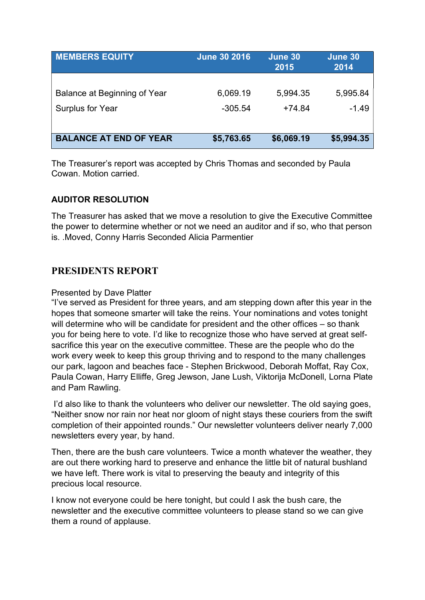| <b>June 30 2016</b> | June 30<br>2015 | June 30<br>2014 |
|---------------------|-----------------|-----------------|
|                     |                 |                 |
| 6,069.19            | 5,994.35        | 5,995.84        |
| $-305.54$           | $+74.84$        | $-1.49$         |
|                     |                 |                 |
| \$5,763.65          | \$6,069.19      | \$5,994.35      |
|                     |                 |                 |

The Treasurer's report was accepted by Chris Thomas and seconded by Paula Cowan. Motion carried.

#### AUDITOR RESOLUTION

The Treasurer has asked that we move a resolution to give the Executive Committee the power to determine whether or not we need an auditor and if so, who that person is. .Moved, Conny Harris Seconded Alicia Parmentier

### PRESIDENTS REPORT

#### Presented by Dave Platter

"I've served as President for three years, and am stepping down after this year in the hopes that someone smarter will take the reins. Your nominations and votes tonight will determine who will be candidate for president and the other offices – so thank you for being here to vote. I'd like to recognize those who have served at great selfsacrifice this year on the executive committee. These are the people who do the work every week to keep this group thriving and to respond to the many challenges our park, lagoon and beaches face - Stephen Brickwood, Deborah Moffat, Ray Cox, Paula Cowan, Harry Elliffe, Greg Jewson, Jane Lush, Viktorija McDonell, Lorna Plate and Pam Rawling.

 I'd also like to thank the volunteers who deliver our newsletter. The old saying goes, "Neither snow nor rain nor heat nor gloom of night stays these couriers from the swift completion of their appointed rounds." Our newsletter volunteers deliver nearly 7,000 newsletters every year, by hand.

Then, there are the bush care volunteers. Twice a month whatever the weather, they are out there working hard to preserve and enhance the little bit of natural bushland we have left. There work is vital to preserving the beauty and integrity of this precious local resource.

I know not everyone could be here tonight, but could I ask the bush care, the newsletter and the executive committee volunteers to please stand so we can give them a round of applause.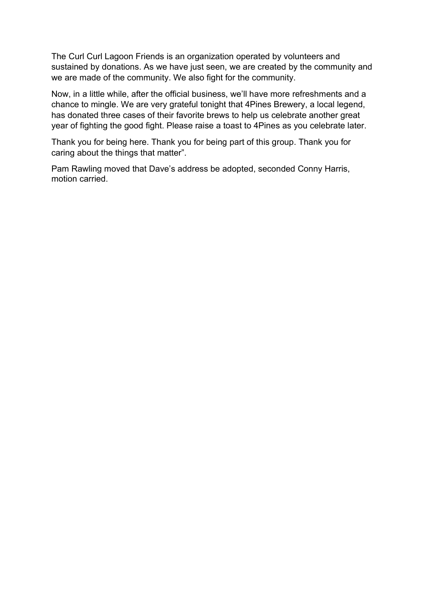The Curl Curl Lagoon Friends is an organization operated by volunteers and sustained by donations. As we have just seen, we are created by the community and we are made of the community. We also fight for the community.

Now, in a little while, after the official business, we'll have more refreshments and a chance to mingle. We are very grateful tonight that 4Pines Brewery, a local legend, has donated three cases of their favorite brews to help us celebrate another great year of fighting the good fight. Please raise a toast to 4Pines as you celebrate later.

Thank you for being here. Thank you for being part of this group. Thank you for caring about the things that matter".

Pam Rawling moved that Dave's address be adopted, seconded Conny Harris, motion carried.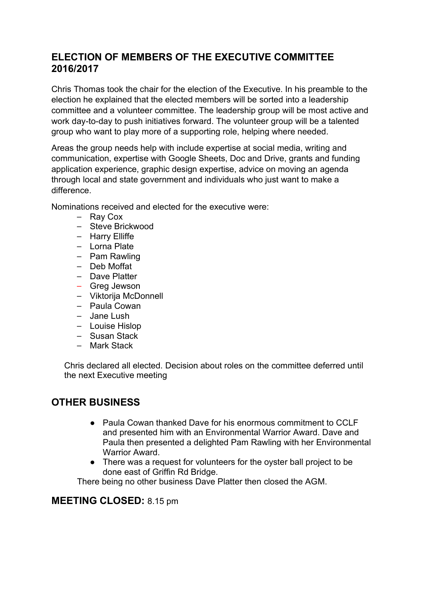# ELECTION OF MEMBERS OF THE EXECUTIVE COMMITTEE 2016/2017

Chris Thomas took the chair for the election of the Executive. In his preamble to the election he explained that the elected members will be sorted into a leadership committee and a volunteer committee. The leadership group will be most active and work day-to-day to push initiatives forward. The volunteer group will be a talented group who want to play more of a supporting role, helping where needed.

Areas the group needs help with include expertise at social media, writing and communication, expertise with Google Sheets, Doc and Drive, grants and funding application experience, graphic design expertise, advice on moving an agenda through local and state government and individuals who just want to make a difference.

Nominations received and elected for the executive were:

- Ray Cox
- Steve Brickwood
- Harry Elliffe
- Lorna Plate
- Pam Rawling
- Deb Moffat
- Dave Platter
- Greg Jewson
- ⎯ Viktorija McDonnell
- Paula Cowan
- Jane Lush
- Louise Hislop
- Susan Stack
- Mark Stack

Chris declared all elected. Decision about roles on the committee deferred until the next Executive meeting

## OTHER BUSINESS

- Paula Cowan thanked Dave for his enormous commitment to CCLF and presented him with an Environmental Warrior Award. Dave and Paula then presented a delighted Pam Rawling with her Environmental Warrior Award.
- There was a request for volunteers for the oyster ball project to be done east of Griffin Rd Bridge.

There being no other business Dave Platter then closed the AGM.

### MEETING CLOSED: 8.15 pm